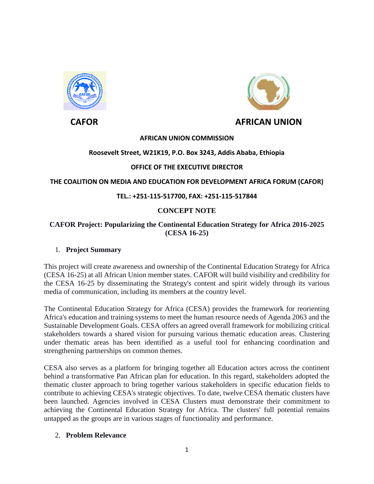



# **CAFOR AFRICAN UNION**

#### **AFRICAN UNION COMMISSION**

### **Roosevelt Street, W21K19, P.O. Box 3243, Addis Ababa, Ethiopia**

## **OFFICE OF THE EXECUTIVE DIRECTOR**

### **THE COALITION ON MEDIA AND EDUCATION FOR DEVELOPMENT AFRICA FORUM (CAFOR)**

### **TEL.: +251-115-517700, FAX: +251-115-517844**

## **CONCEPT NOTE**

### **CAFOR Project: Popularizing the Continental Education Strategy for Africa 2016-2025 (CESA 16-25)**

#### 1. **Project Summary**

This project will create awareness and ownership of the Continental Education Strategy for Africa (CESA 16-25) at all African Union member states. CAFOR will build visibility and credibility for the CESA 16-25 by disseminating the Strategy's content and spirit widely through its various media of communication, including its members at the country level.

The Continental Education Strategy for Africa (CESA) provides the framework for reorienting Africa's education and training systems to meet the human resource needs of Agenda 2063 and the Sustainable Development Goals. CESA offers an agreed overall framework for mobilizing critical stakeholders towards a shared vision for pursuing various thematic education areas. Clustering under thematic areas has been identified as a useful tool for enhancing coordination and strengthening partnerships on common themes.

CESA also serves as a platform for bringing together all Education actors across the continent behind a transformative Pan African plan for education. In this regard, stakeholders adopted the thematic cluster approach to bring together various stakeholders in specific education fields to contribute to achieving CESA's strategic objectives. To date, twelve CESA thematic clusters have been launched. Agencies involved in CESA Clusters must demonstrate their commitment to achieving the Continental Education Strategy for Africa. The clusters' full potential remains untapped as the groups are in various stages of functionality and performance.

#### 2. **Problem Relevance**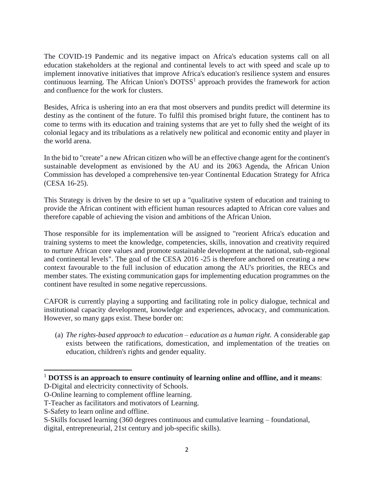The COVID-19 Pandemic and its negative impact on Africa's education systems call on all education stakeholders at the regional and continental levels to act with speed and scale up to implement innovative initiatives that improve Africa's education's resilience system and ensures continuous learning. The African Union's  $DOTSS<sup>1</sup>$  approach provides the framework for action and confluence for the work for clusters.

Besides, Africa is ushering into an era that most observers and pundits predict will determine its destiny as the continent of the future. To fulfil this promised bright future, the continent has to come to terms with its education and training systems that are yet to fully shed the weight of its colonial legacy and its tribulations as a relatively new political and economic entity and player in the world arena.

In the bid to "create" a new African citizen who will be an effective change agent for the continent's sustainable development as envisioned by the AU and its 2063 Agenda, the African Union Commission has developed a comprehensive ten-year Continental Education Strategy for Africa (CESA 16-25).

This Strategy is driven by the desire to set up a "qualitative system of education and training to provide the African continent with efficient human resources adapted to African core values and therefore capable of achieving the vision and ambitions of the African Union.

Those responsible for its implementation will be assigned to "reorient Africa's education and training systems to meet the knowledge, competencies, skills, innovation and creativity required to nurture African core values and promote sustainable development at the national, sub-regional and continental levels". The goal of the CESA 2016 -25 is therefore anchored on creating a new context favourable to the full inclusion of education among the AU's priorities, the RECs and member states. The existing communication gaps for implementing education programmes on the continent have resulted in some negative repercussions.

CAFOR is currently playing a supporting and facilitating role in policy dialogue, technical and institutional capacity development, knowledge and experiences, advocacy, and communication. However, so many gaps exist. These border on:

(a) *The rights-based approach to education – education as a human right.* A considerable gap exists between the ratifications, domestication, and implementation of the treaties on education, children's rights and gender equality.

 $\overline{\phantom{a}}$ 

S-Skills focused learning (360 degrees continuous and cumulative learning – foundational,

<sup>1</sup> **DOTSS is an approach to ensure continuity of learning online and offline, and it means**:

D-Digital and electricity connectivity of Schools.

O-Online learning to complement offline learning.

T-Teacher as facilitators and motivators of Learning.

S-Safety to learn online and offline.

digital, entrepreneurial, 21st century and job-specific skills).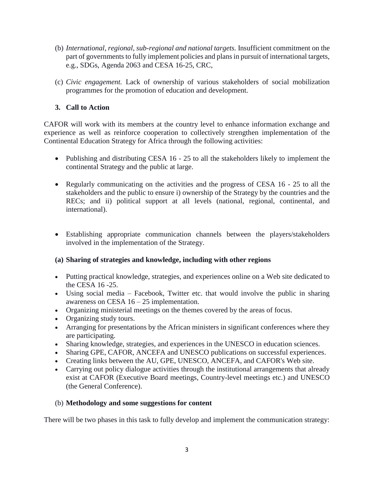- (b) *International, regional, sub-regional and national targets.* Insufficient commitment on the part of governments to fully implement policies and plans in pursuit of international targets, e.g., SDGs, Agenda 2063 and CESA 16-25, CRC,
- (c) *Civic engagement.* Lack of ownership of various stakeholders of social mobilization programmes for the promotion of education and development.

## **3. Call to Action**

CAFOR will work with its members at the country level to enhance information exchange and experience as well as reinforce cooperation to collectively strengthen implementation of the Continental Education Strategy for Africa through the following activities:

- Publishing and distributing CESA 16 25 to all the stakeholders likely to implement the continental Strategy and the public at large.
- Regularly communicating on the activities and the progress of CESA 16 25 to all the stakeholders and the public to ensure i) ownership of the Strategy by the countries and the RECs; and ii) political support at all levels (national, regional, continental, and international).
- Establishing appropriate communication channels between the players/stakeholders involved in the implementation of the Strategy.

## **(a) Sharing of strategies and knowledge, including with other regions**

- Putting practical knowledge, strategies, and experiences online on a Web site dedicated to the CESA 16 -25.
- Using social media Facebook, Twitter etc. that would involve the public in sharing awareness on CESA 16 – 25 implementation.
- Organizing ministerial meetings on the themes covered by the areas of focus.
- Organizing study tours.
- Arranging for presentations by the African ministers in significant conferences where they are participating.
- Sharing knowledge, strategies, and experiences in the UNESCO in education sciences.
- Sharing GPE, CAFOR, ANCEFA and UNESCO publications on successful experiences.
- Creating links between the AU, GPE, UNESCO, ANCEFA, and CAFOR's Web site.
- Carrying out policy dialogue activities through the institutional arrangements that already exist at CAFOR (Executive Board meetings, Country-level meetings etc.) and UNESCO (the General Conference).

## (b) **Methodology and some suggestions for content**

There will be two phases in this task to fully develop and implement the communication strategy: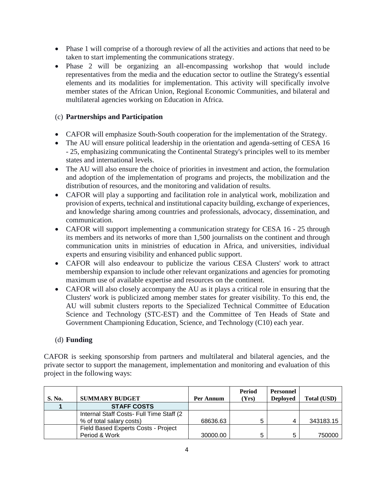- Phase 1 will comprise of a thorough review of all the activities and actions that need to be taken to start implementing the communications strategy.
- Phase 2 will be organizing an all-encompassing workshop that would include representatives from the media and the education sector to outline the Strategy's essential elements and its modalities for implementation. This activity will specifically involve member states of the African Union, Regional Economic Communities, and bilateral and multilateral agencies working on Education in Africa.

### (c) **Partnerships and Participation**

- CAFOR will emphasize South-South cooperation for the implementation of the Strategy.
- The AU will ensure political leadership in the orientation and agenda-setting of CESA 16 - 25, emphasizing communicating the Continental Strategy's principles well to its member states and international levels.
- The AU will also ensure the choice of priorities in investment and action, the formulation and adoption of the implementation of programs and projects, the mobilization and the distribution of resources, and the monitoring and validation of results.
- CAFOR will play a supporting and facilitation role in analytical work, mobilization and provision of experts, technical and institutional capacity building, exchange of experiences, and knowledge sharing among countries and professionals, advocacy, dissemination, and communication.
- CAFOR will support implementing a communication strategy for CESA 16 25 through its members and its networks of more than 1,500 journalists on the continent and through communication units in ministries of education in Africa, and universities, individual experts and ensuring visibility and enhanced public support.
- CAFOR will also endeavour to publicize the various CESA Clusters' work to attract membership expansion to include other relevant organizations and agencies for promoting maximum use of available expertise and resources on the continent.
- CAFOR will also closely accompany the AU as it plays a critical role in ensuring that the Clusters' work is publicized among member states for greater visibility. To this end, the AU will submit clusters reports to the Specialized Technical Committee of Education Science and Technology (STC-EST) and the Committee of Ten Heads of State and Government Championing Education, Science, and Technology (C10) each year.

#### (d) **Funding**

CAFOR is seeking sponsorship from partners and multilateral and bilateral agencies, and the private sector to support the management, implementation and monitoring and evaluation of this project in the following ways:

| S. No. | <b>SUMMARY BUDGET</b>                     | Per Annum | Period<br>(Yrs) | <b>Personnel</b><br><b>Deployed</b> | <b>Total (USD)</b> |
|--------|-------------------------------------------|-----------|-----------------|-------------------------------------|--------------------|
|        | <b>STAFF COSTS</b>                        |           |                 |                                     |                    |
|        | Internal Staff Costs- Full Time Staff (2) |           |                 |                                     |                    |
|        | % of total salary costs)                  | 68636.63  |                 |                                     | 343183.15          |
|        | Field Based Experts Costs - Project       |           |                 |                                     |                    |
|        | Period & Work                             | 30000.00  |                 |                                     | 750000             |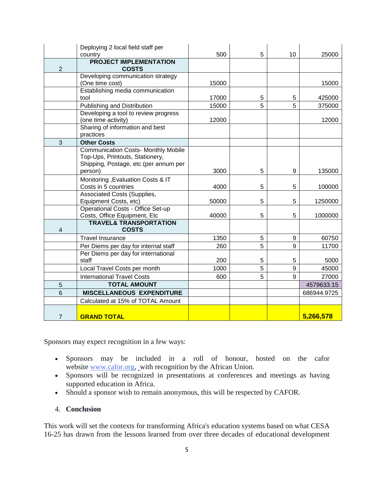|                | Deploying 2 local field staff per                   |       |   |    |             |
|----------------|-----------------------------------------------------|-------|---|----|-------------|
|                | country                                             | 500   | 5 | 10 | 25000       |
|                | <b>PROJECT IMPLEMENTATION</b>                       |       |   |    |             |
| $\overline{2}$ | <b>COSTS</b>                                        |       |   |    |             |
|                | Developing communication strategy                   |       |   |    |             |
|                | (One time cost)<br>Establishing media communication | 15000 |   |    | 15000       |
|                | tool                                                | 17000 | 5 | 5  | 425000      |
|                | Publishing and Distribution                         | 15000 | 5 | 5  | 375000      |
|                | Developing a tool to review progress                |       |   |    |             |
|                | (one time activity)                                 | 12000 |   |    | 12000       |
|                | Sharing of information and best                     |       |   |    |             |
|                | practices                                           |       |   |    |             |
| 3              | <b>Other Costs</b>                                  |       |   |    |             |
|                | <b>Communication Costs- Monthly Mobile</b>          |       |   |    |             |
|                | Top-Ups, Printouts, Stationery,                     |       |   |    |             |
|                | Shipping, Postage, etc (per annum per               |       |   |    |             |
|                | person)                                             | 3000  | 5 | 9  | 135000      |
|                | Monitoring , Evaluation Costs & IT                  |       |   |    |             |
|                | Costs in 5 countries                                | 4000  | 5 | 5  | 100000      |
|                | <b>Associated Costs (Supplies,</b>                  |       |   |    |             |
|                | Equipment Costs, etc)                               | 50000 | 5 | 5  | 1250000     |
|                | <b>Operational Costs - Office Set-up</b>            |       |   |    |             |
|                | Costs, Office Equipment, Etc                        | 40000 | 5 | 5  | 1000000     |
| 4              | <b>TRAVEL&amp; TRANSPORTATION</b><br><b>COSTS</b>   |       |   |    |             |
|                | <b>Travel Insurance</b>                             | 1350  | 5 | 9  | 60750       |
|                | Per Diems per day for internal staff                | 260   | 5 | 9  | 11700       |
|                | Per Diems per day for international                 |       |   |    |             |
|                | staff                                               | 200   | 5 | 5  | 5000        |
|                | Local Travel Costs per month                        | 1000  | 5 | 9  | 45000       |
|                | <b>International Travel Costs</b>                   | 600   | 5 | 9  | 27000       |
| 5              | <b>TOTAL AMOUNT</b>                                 |       |   |    | 4579633.15  |
| 6              | <b>MISCELLANEOUS EXPENDITURE</b>                    |       |   |    | 686944.9725 |
|                | Calculated at 15% of TOTAL Amount                   |       |   |    |             |
|                |                                                     |       |   |    |             |
| $\overline{7}$ | <b>GRAND TOTAL</b>                                  |       |   |    | 5,266,578   |

Sponsors may expect recognition in a few ways:

- Sponsors may be included in a roll of honour, hosted on the cafor website [www.cafor.org,](http://www.cafor.org/) with recognition by the African Union.
- Sponsors will be recognized in presentations at conferences and meetings as having supported education in Africa.
- Should a sponsor wish to remain anonymous, this will be respected by CAFOR.

#### 4. **Conclusion**

This work will set the contexts for transforming Africa's education systems based on what CESA 16-25 has drawn from the lessons learned from over three decades of educational development